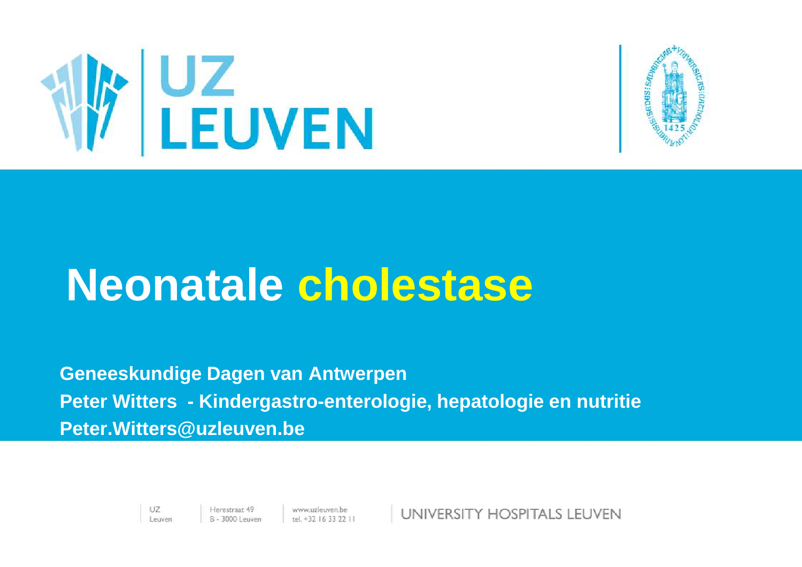



#### **Neonatale cholestase**

**Geneeskundige Dagen van Antwerpen Peter Witters - Kindergastro-enterologie, hepatologie en nutritie Peter.Witters@uzleuven.be**

> UZ. Leuven

Herestraat 49 www.uzleuven.be<br>B - 3000 Leuven tel. +32 16 33 22 11

UNIVERSITY HOSPITALS LEUVEN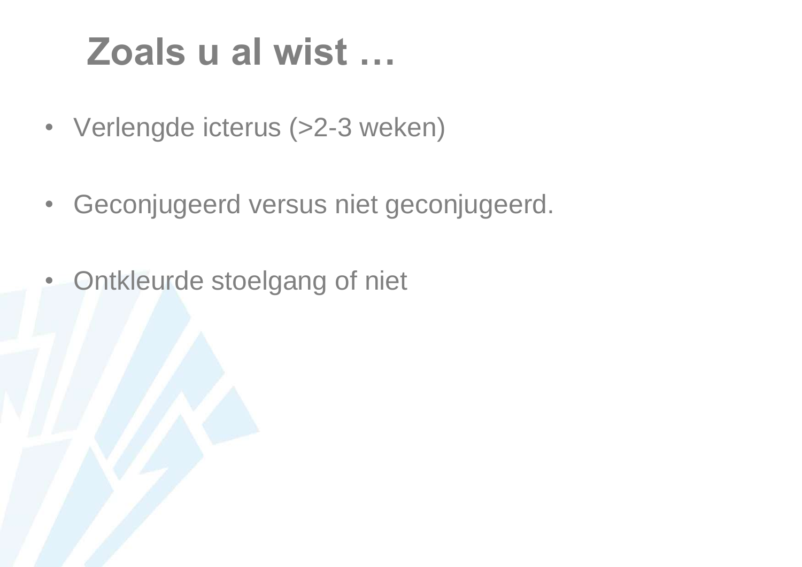#### **Zoals u al wist …**

- Verlengde icterus (>2-3 weken)
- Geconjugeerd versus niet geconjugeerd.
- Ontkleurde stoelgang of niet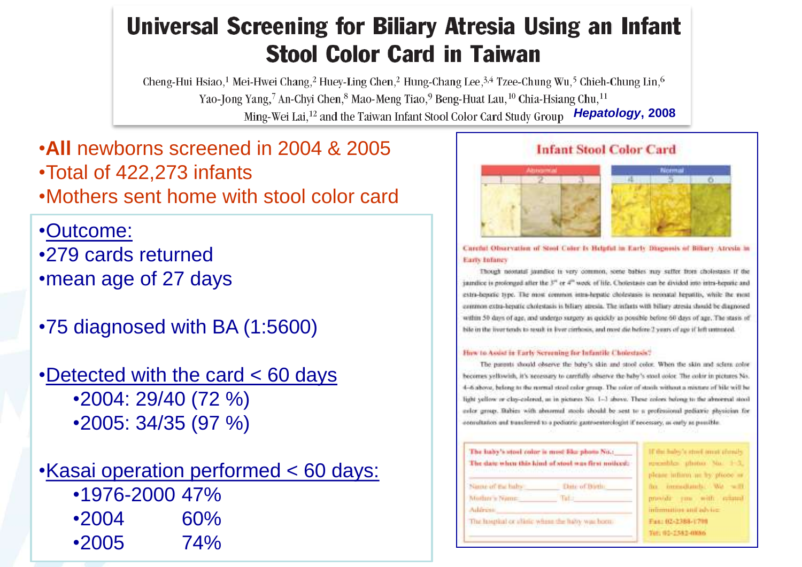#### Universal Screening for Biliary Atresia Using an Infant **Stool Color Card in Taiwan**

Cheng-Hui Hsiao,<sup>1</sup> Mei-Hwei Chang,<sup>2</sup> Huey-Ling Chen,<sup>2</sup> Hung-Chang Lee,<sup>3,4</sup> Tzee-Chung Wu,<sup>5</sup> Chieh-Chung Lin,<sup>6</sup> Yao-Jong Yang,<sup>7</sup> An-Chyi Chen,<sup>8</sup> Mao-Meng Tiao,<sup>9</sup> Beng-Huat Lau,<sup>10</sup> Chia-Hsiang Chu,<sup>11</sup> *Hepatology***, 2008**

•**All** newborns screened in 2004 & 2005 •Total of 422,273 infants •Mothers sent home with stool color card

•Outcome: •279 cards returned •mean age of 27 days

•75 diagnosed with BA (1:5600)

•Detected with the card < 60 days •2004: 29/40 (72 %) •2005: 34/35 (97 %)

•Kasai operation performed < 60 days: •1976-2000 47% •2004 60% •2005 74%

#### **Infant Stool Color Card**



Careful Observation of Steel Color Is Helpful in Early Diagnosis of Biltary Atresia in Earry Infancy

Though neonatal jaundice is very common, some babies may suffer from cholosuses if the jaindice is prolonged after the 3" or 4" week of life. Cholestasis can be divided into intra-hepotic and extra-benefic type. The most common intera-hepatic cholestasis is neonatal hepatitis, while the most ceremon extra-heratic cholestasis is biliary atrests. The infants with biliary stresia should be diagnosed within 50 days of age, and undergo surgery as quickly as possible before 60 days of age. The stasis of bile in the liver tends to result in liver cirrhosis, and most die helire 2 years of age if left untrusted.

#### How to Assist in Early Screening for Infantile Cholestasis?

The parents should observe the baby's skin and stool color. When the skin and scienc color becomes yellowish, it's necessary to carefully observe the help's stool color. The color in pictures No. 4-6 above, belong to the remnal steel color group. The color of stash without a mixture of bile will be light yellow or clay-colored, at in pictures No. 1-3 above. These colors belong to the abnormal stool ealer group. Babies with abnarmal stooks should be sent to a professional pediatric physician for convoltation and transferred to a podiotric gastroesterologist if neoessary, as early as passible.

> is stoot innet chouls. ubotus Nu. 1-3. mit au hat plicee in Handall WA - SHIP with admini-

a and advice. 388-1700 **GAT-UNAD** 

| The liaby's stool color is most like photo No.:<br>The date when this kind of stool was first noticed: |                                                  | 11 that half-<br>proposition                          |
|--------------------------------------------------------------------------------------------------------|--------------------------------------------------|-------------------------------------------------------|
| Name of Eachahy<br>Mother's Name.                                                                      | Date of Birth:<br>Tefan                          | please but<br><b>FIRES</b><br><b>Date</b><br>provide" |
| Ailfrem                                                                                                | The hospital or alistic where the havy was boom: | inimmun<br>Fas: 024<br>Tel: 01-1                      |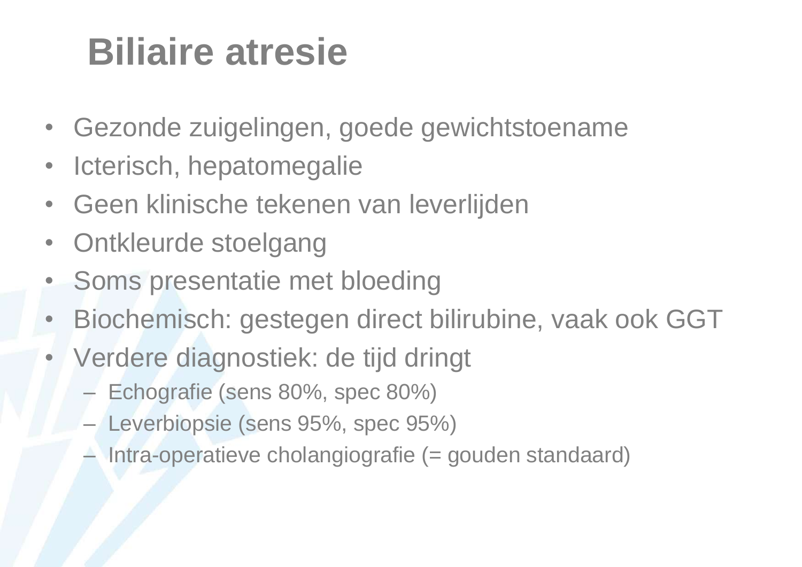#### **Biliaire atresie**

- Gezonde zuigelingen, goede gewichtstoename
- Icterisch, hepatomegalie
- Geen klinische tekenen van leverlijden
- Ontkleurde stoelgang
- Soms presentatie met bloeding
- Biochemisch: gestegen direct bilirubine, vaak ook GGT
- Verdere diagnostiek: de tijd dringt
	- Echografie (sens 80%, spec 80%)
	- Leverbiopsie (sens 95%, spec 95%)
	- Intra-operatieve cholangiografie (= gouden standaard)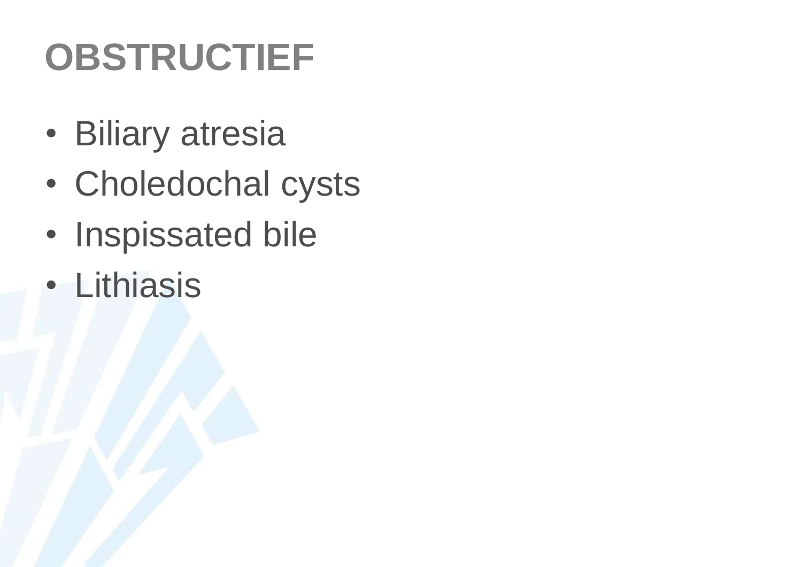#### **OBSTRUCTIEF**

- Biliary atresia
- Choledochal cysts
- Inspissated bile
- Lithiasis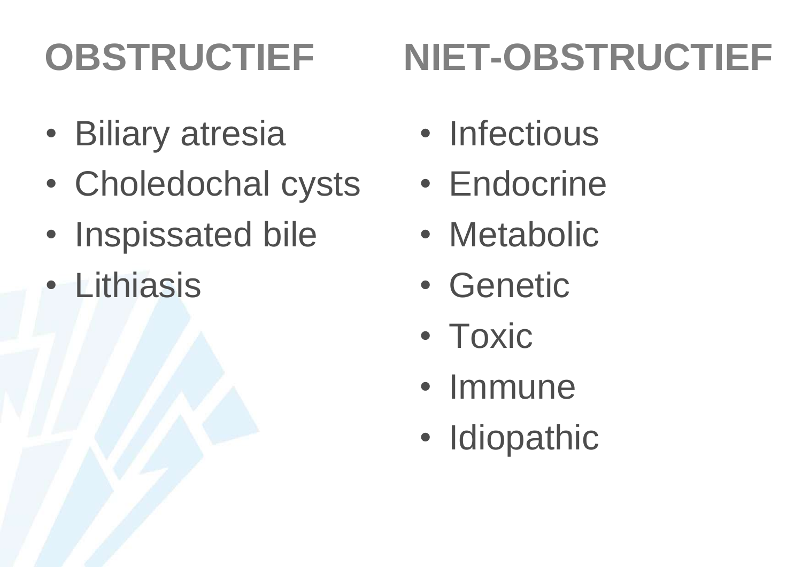## **OBSTRUCTIEF**

## **NIET-OBSTRUCTIEF**

- Biliary atresia
- Choledochal cysts
- Inspissated bile
- Lithiasis
- Infectious
- Endocrine
- Metabolic
- Genetic
- Toxic
- Immune
- Idiopathic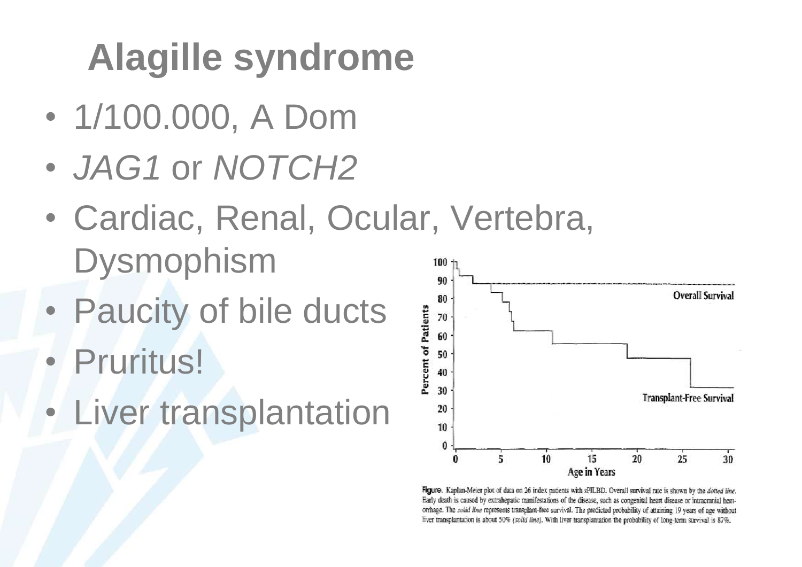## **Alagille syndrome**

- 1/100.000, A Dom
- *JAG1* or *NOTCH2*
- Cardiac, Renal, Ocular, Vertebra, Dysmophism 100
- Paucity of bile ducts
- Pruritus!
- Liver transplantation



Figure. Kaplan-Meier plot of data on 26 index patients with sPILBD. Overall survival rate is shown by the dotted line. Early death is caused by extrahepatic manifestations of the disease, such as congenital heart disease or intracranial hemorrhage. The solid line represents transplant-free survival. The predicted probability of attaining 19 years of age without liver transplantation is about 50% (solid line). With liver transplantation the probability of long-term survival is 87%.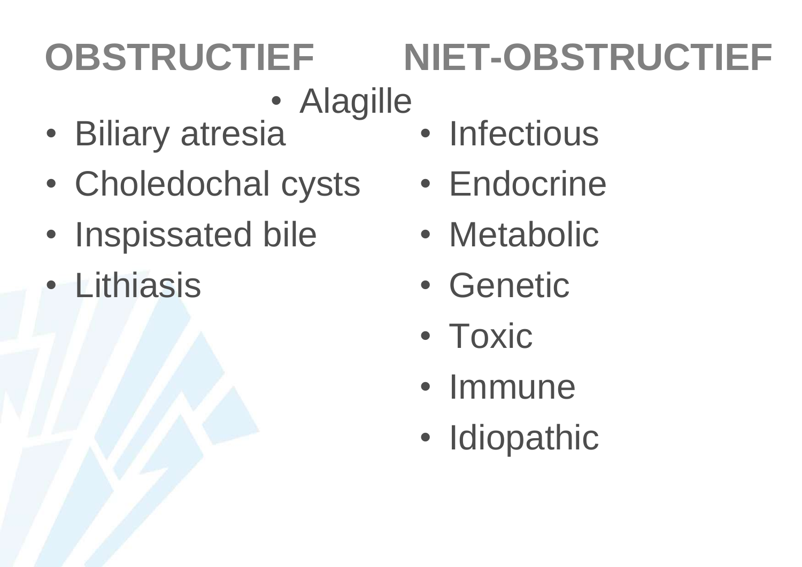#### **OBSTRUCTIEF NIET-OBSTRUCTIEF**

- Alagille
- Biliary atresia
- Choledochal cysts
- Inspissated bile
- Lithiasis
- Infectious
- Endocrine
- Metabolic
- Genetic
- Toxic
- Immune
- Idiopathic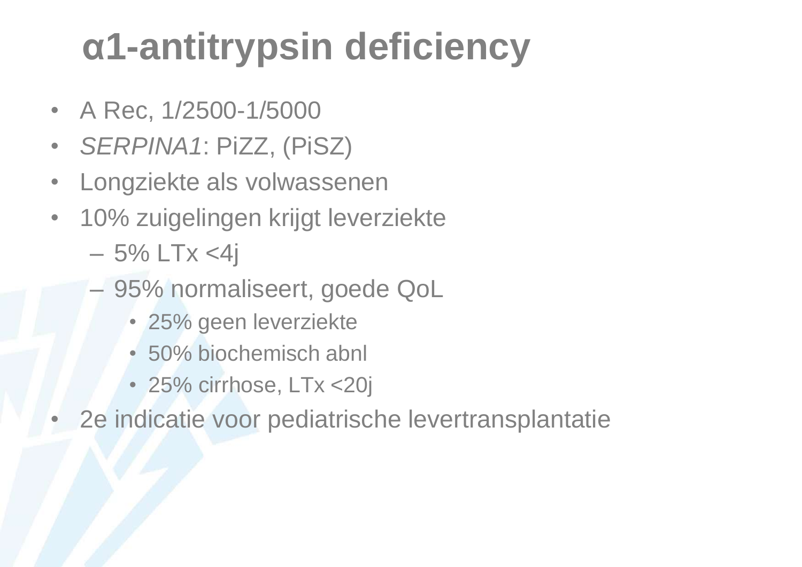### **α1-antitrypsin deficiency**

- A Rec, 1/2500-1/5000
- *SERPINA1*: PiZZ, (PiSZ)
- Longziekte als volwassenen
- 10% zuigelingen krijgt leverziekte
	- $-5\%$  LTx <4j
	- 95% normaliseert, goede QoL
		- 25% geen leverziekte
		- 50% biochemisch abnl
		- 25% cirrhose, LTx <20j
- 2e indicatie voor pediatrische levertransplantatie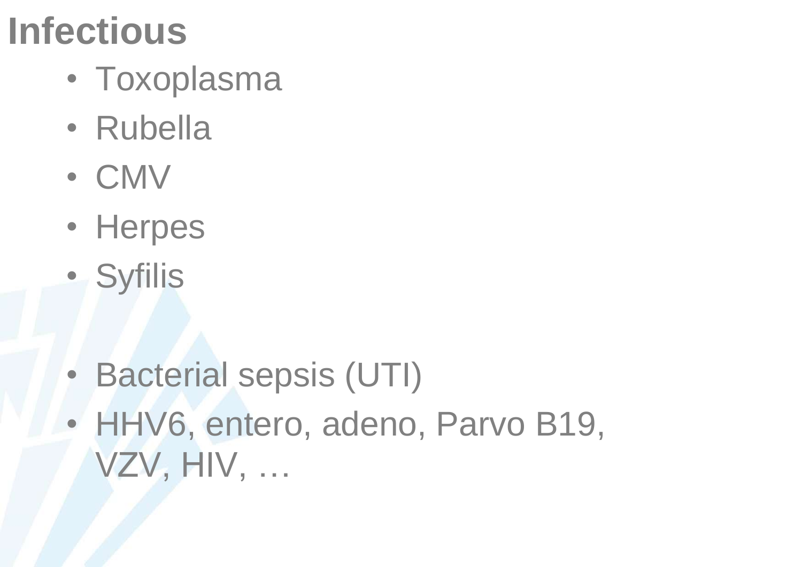#### **Infectious**

- Toxoplasma
- Rubella
- CMV
- Herpes
- Syfilis
- Bacterial sepsis (UTI)
- HHV6, entero, adeno, Parvo B19, VZV, HIV, …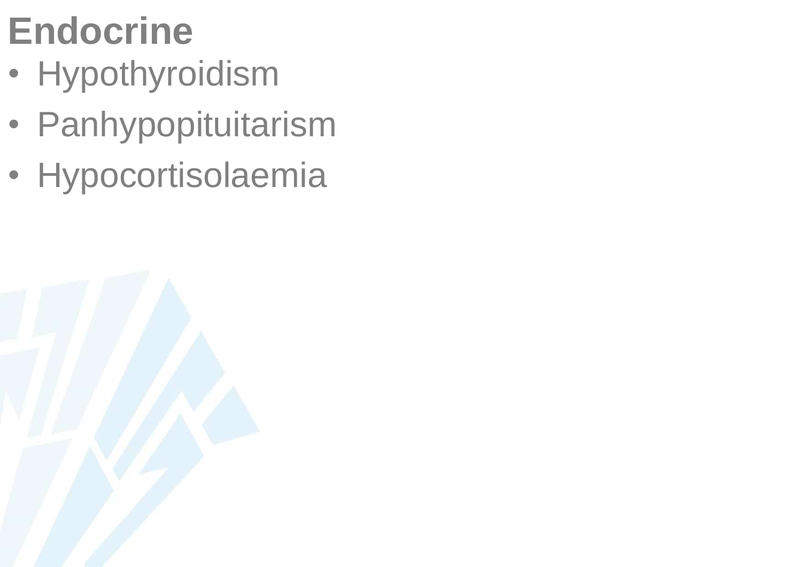### **Endocrine**

- Hypothyroidism
- Panhypopituitarism
- Hypocortisolaemia

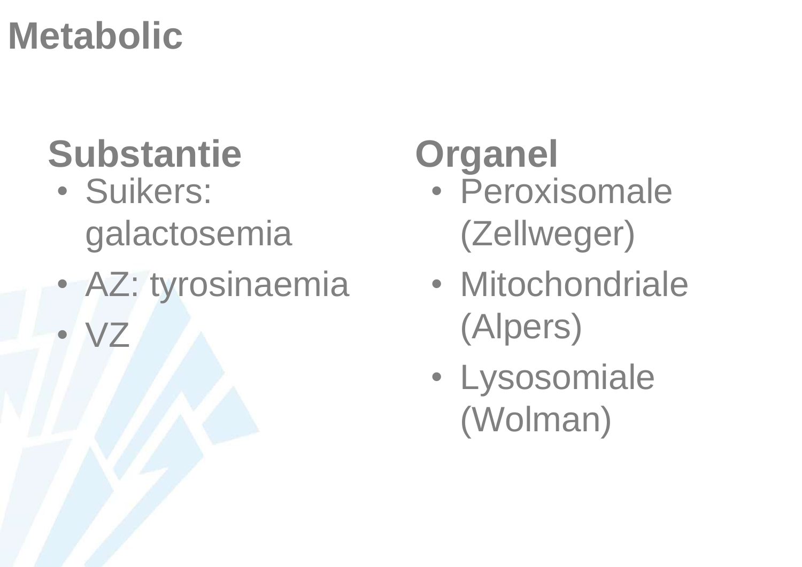#### **Metabolic**

• VZ

### **Substantie Organel**

- Suikers: galactosemia
- AZ: tyrosinaemia

- Peroxisomale (Zellweger)
- Mitochondriale (Alpers)
- Lysosomiale (Wolman)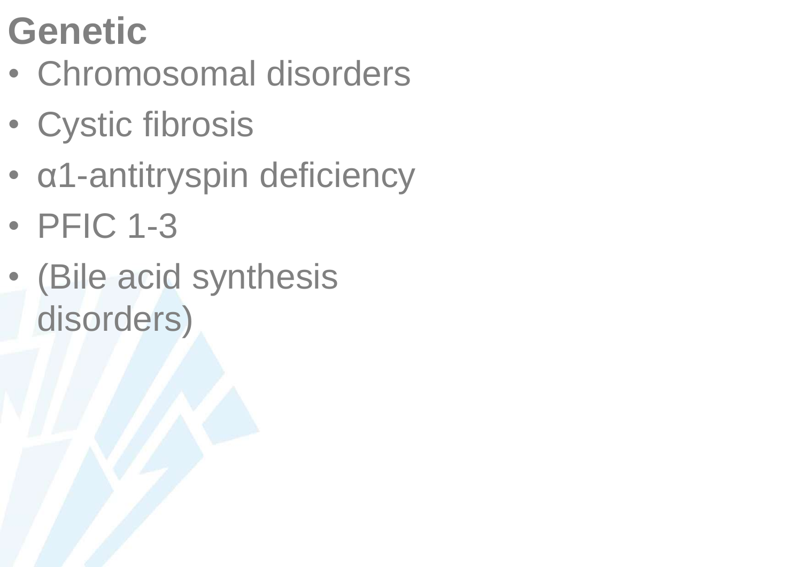#### **Genetic**

- Chromosomal disorders
- Cystic fibrosis
- α1-antitryspin deficiency
- PFIC 1-3
- (Bile acid synthesis disorders)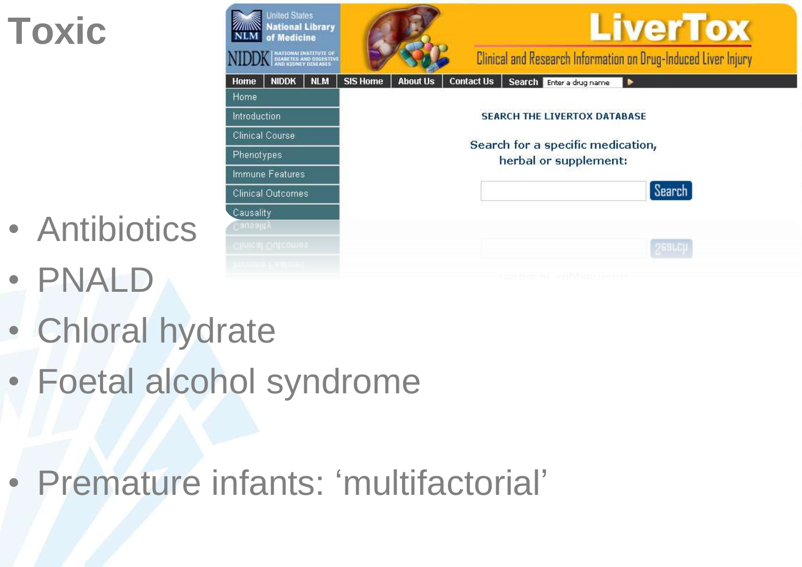#### **Toxic**

- **Inited States LiverTox National Library** of Medicine NATIONALINSTITUTE OF<br>DIABETES AND DIGESTIV<br>AND KIDNEY DISEASES Clinical and Research Information on Drug-Induced Liver Injury **Contact Us** Search Enter a drug name Home **NIDDK NLM SIS Home About Us Home** Introduction **SEARCH THE LIVERTOX DATABASE Clinical Course** Search for a specific medication, Phenotypes herbal or supplement: Immune Features Search **Clinical Outcomes** Causality
- Antibiotics
- PNALD
- Chloral hydrate
- Foetal alcohol syndrome

• Premature infants: 'multifactorial'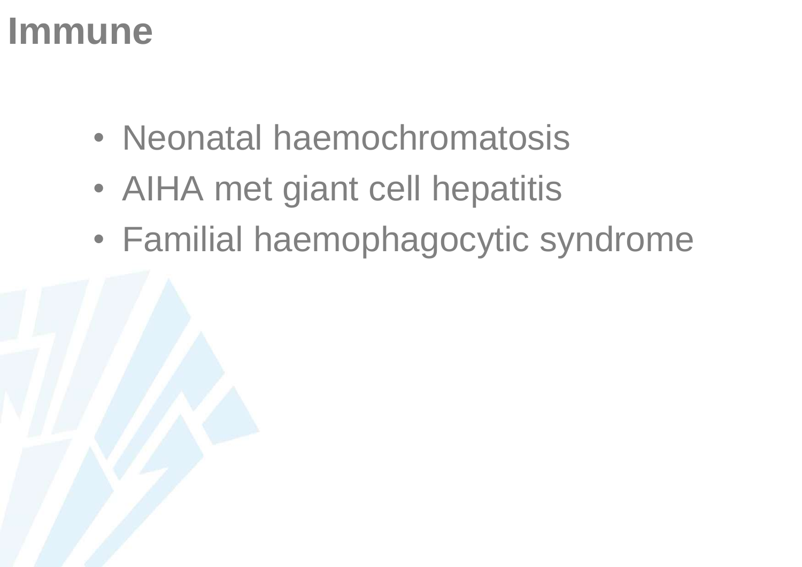#### **Immune**

- Neonatal haemochromatosis
- AIHA met giant cell hepatitis
- Familial haemophagocytic syndrome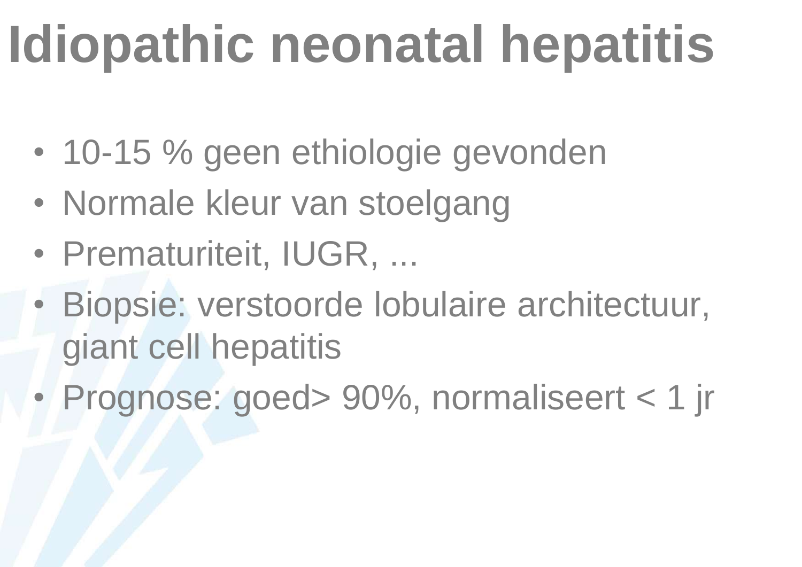# **Idiopathic neonatal hepatitis**

- 10-15 % geen ethiologie gevonden
- Normale kleur van stoelgang
- Prematuriteit, IUGR, ...
- Biopsie: verstoorde lobulaire architectuur, giant cell hepatitis
- Prognose: goed> 90%, normaliseert < 1 jr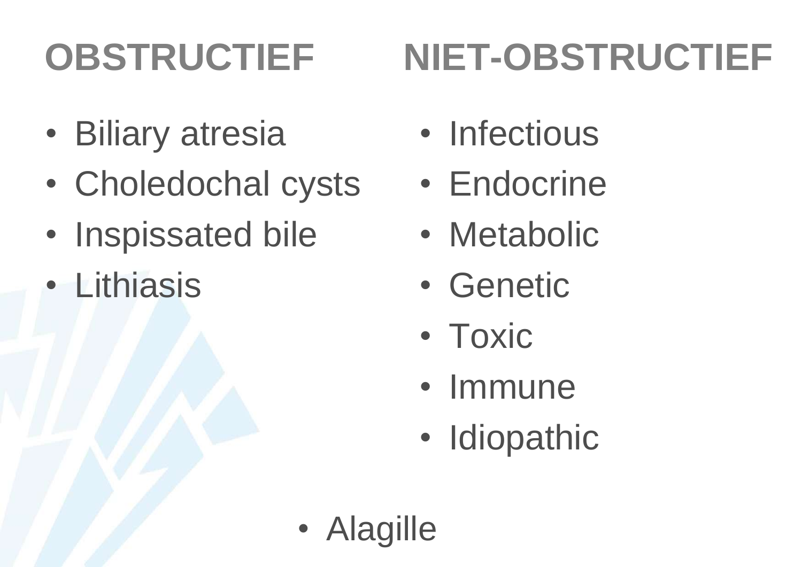## **OBSTRUCTIEF**

## **NIET-OBSTRUCTIEF**

- Biliary atresia
- Choledochal cysts
- Inspissated bile
- Lithiasis
- Infectious
- Endocrine
- Metabolic
- Genetic
- Toxic
- Immune
- Idiopathic
- Alagille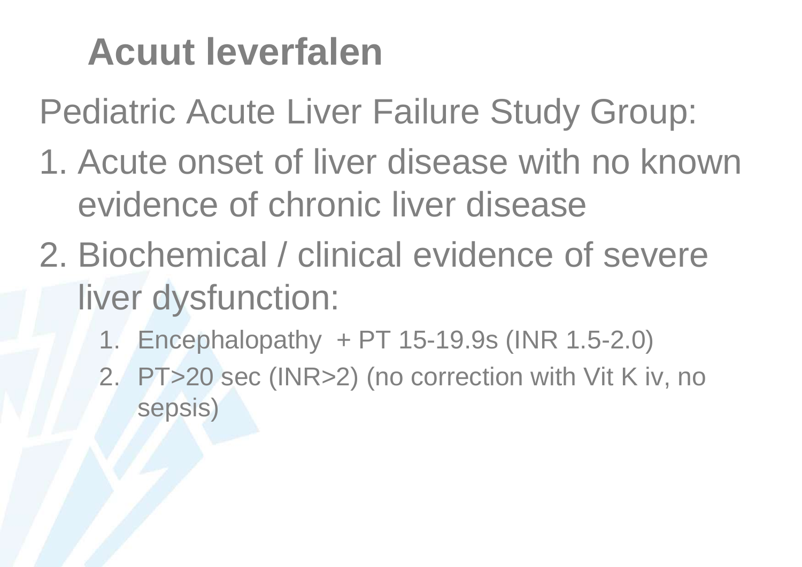#### **Acuut leverfalen**

Pediatric Acute Liver Failure Study Group:

- 1. Acute onset of liver disease with no known evidence of chronic liver disease
- 2. Biochemical / clinical evidence of severe liver dysfunction:
	- 1. Encephalopathy + PT 15-19.9s (INR 1.5-2.0)
	- 2. PT>20 sec (INR>2) (no correction with Vit K iv, no sepsis)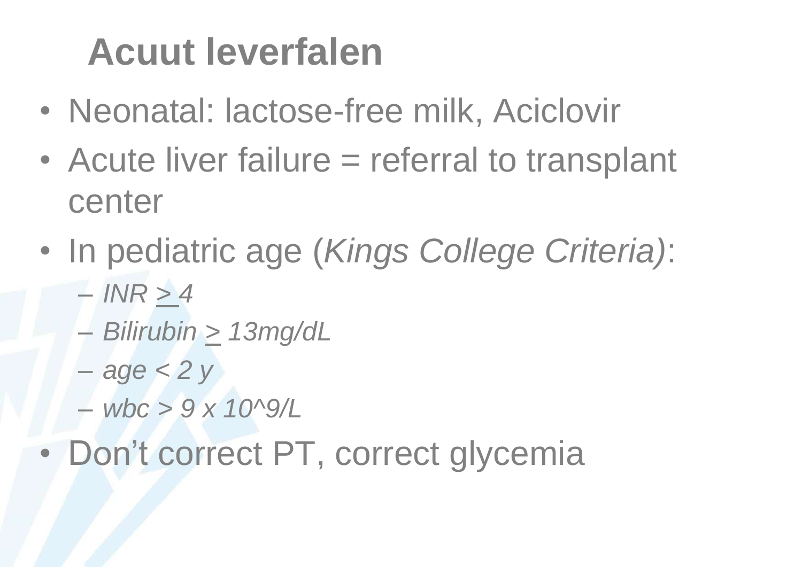#### **Acuut leverfalen**

- Neonatal: lactose-free milk, Aciclovir
- Acute liver failure = referral to transplant center
- In pediatric age (*Kings College Criteria)*:
	- *INR > 4*
	- *Bilirubin > 13mg/dL*
	- *age < 2 y*
	- *wbc > 9 x 10^9/L*
- Don't correct PT, correct glycemia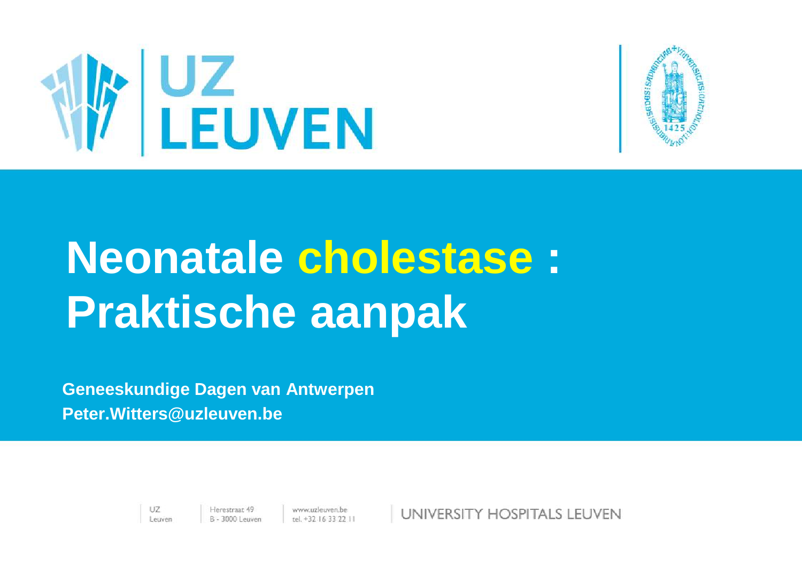



# **Neonatale cholestase : Praktische aanpak**

**Geneeskundige Dagen van Antwerpen Peter.Witters@uzleuven.be**

> UZ. Leuven

 $www.uzleuven.be  
tel. +32 16 33 22 11$ 

UNIVERSITY HOSPITALS LEUVEN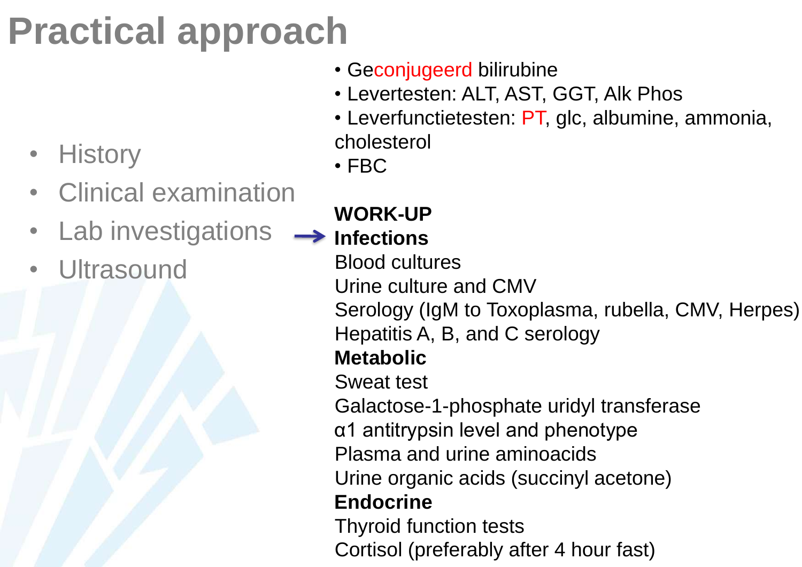## **Practical approach**

- History
- Clinical examination
- Lab investigations
- **Ultrasound**
- Geconjugeerd bilirubine
- Levertesten: ALT, AST, GGT, Alk Phos
- Leverfunctietesten: PT, glc, albumine, ammonia, cholesterol
- FBC
- **WORK-UP Infections**

Blood cultures

Urine culture and CMV

Serology (IgM to Toxoplasma, rubella, CMV, Herpes)

Hepatitis A, B, and C serology

#### **Metabolic**

Sweat test

Galactose-1-phosphate uridyl transferase

α1 antitrypsin level and phenotype

Plasma and urine aminoacids

Urine organic acids (succinyl acetone)

#### **Endocrine**

Thyroid function tests Cortisol (preferably after 4 hour fast)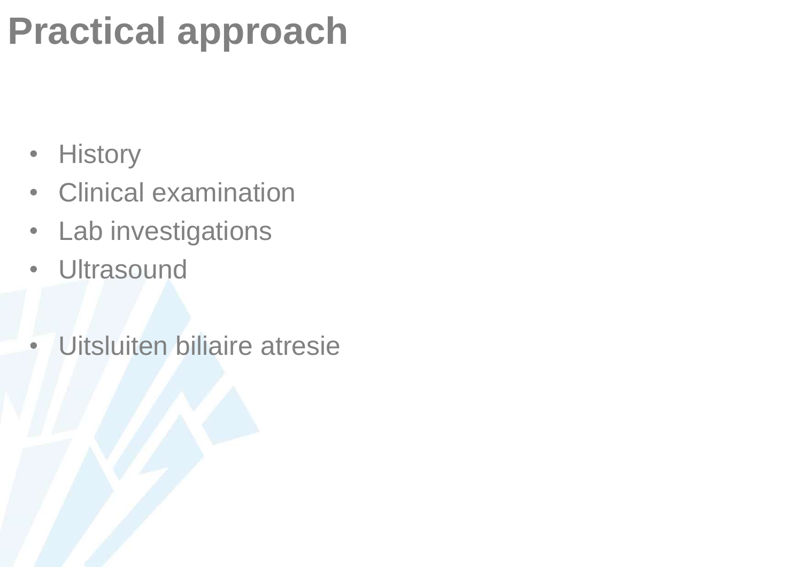#### **Practical approach**

- History
- Clinical examination
- Lab investigations
- Ultrasound
- Uitsluiten biliaire atresie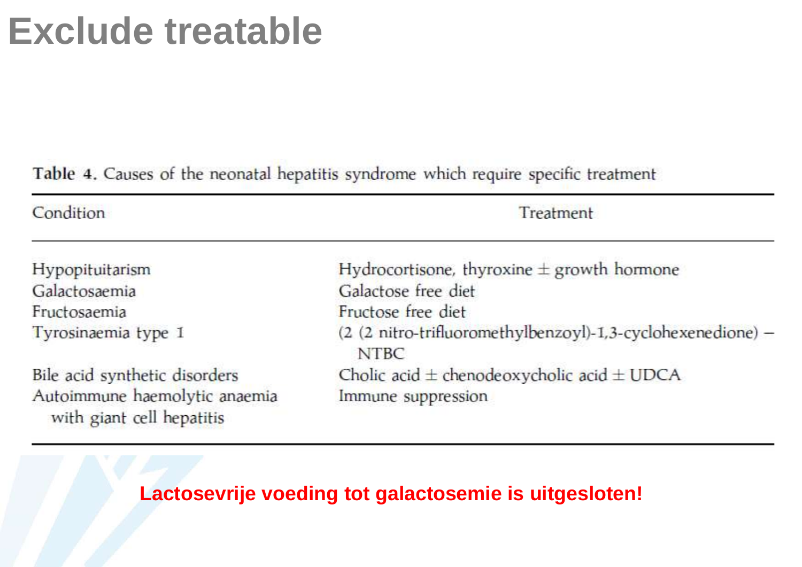#### **Exclude treatable**

Table 4. Causes of the neonatal hepatitis syndrome which require specific treatment

| Condition                                                  | Treatment                                                           |
|------------------------------------------------------------|---------------------------------------------------------------------|
| Hypopituitarism                                            | Hydrocortisone, thyroxine $\pm$ growth hormone                      |
| Galactosaemia                                              | Galactose free diet                                                 |
| Fructosaemia                                               | Fructose free diet                                                  |
| Tyrosinaemia type 1                                        | (2 (2 nitro-trifluoromethylbenzoyl)-1,3-cyclohexenedione) -<br>NTBC |
| Bile acid synthetic disorders                              | Cholic acid $\pm$ chenodeoxycholic acid $\pm$ UDCA                  |
| Autoimmune haemolytic anaemia<br>with giant cell hepatitis | Immune suppression                                                  |

#### **Lactosevrije voeding tot galactosemie is uitgesloten!**